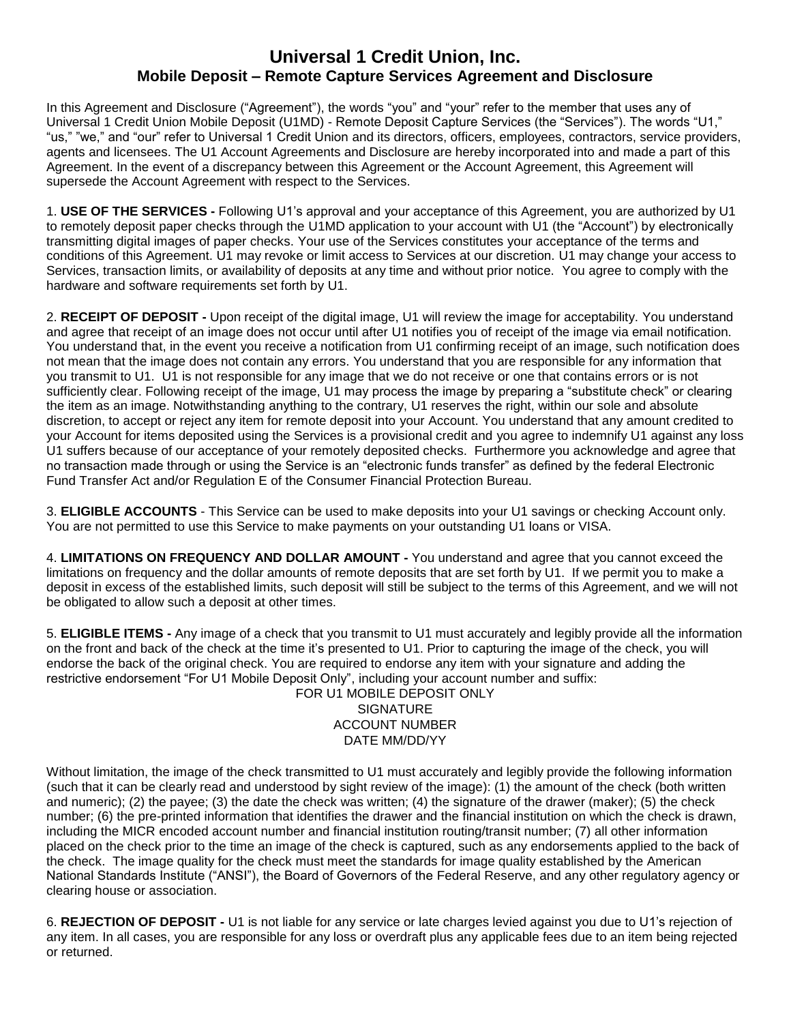## **Universal 1 Credit Union, Inc. Mobile Deposit – Remote Capture Services Agreement and Disclosure**

In this Agreement and Disclosure ("Agreement"), the words "you" and "your" refer to the member that uses any of Universal 1 Credit Union Mobile Deposit (U1MD) - Remote Deposit Capture Services (the "Services"). The words "U1," "us," "we," and "our" refer to Universal 1 Credit Union and its directors, officers, employees, contractors, service providers, agents and licensees. The U1 Account Agreements and Disclosure are hereby incorporated into and made a part of this Agreement. In the event of a discrepancy between this Agreement or the Account Agreement, this Agreement will supersede the Account Agreement with respect to the Services.

1. **USE OF THE SERVICES -** Following U1's approval and your acceptance of this Agreement, you are authorized by U1 to remotely deposit paper checks through the U1MD application to your account with U1 (the "Account") by electronically transmitting digital images of paper checks. Your use of the Services constitutes your acceptance of the terms and conditions of this Agreement. U1 may revoke or limit access to Services at our discretion. U1 may change your access to Services, transaction limits, or availability of deposits at any time and without prior notice. You agree to comply with the hardware and software requirements set forth by U1.

2. **RECEIPT OF DEPOSIT -** Upon receipt of the digital image, U1 will review the image for acceptability. You understand and agree that receipt of an image does not occur until after U1 notifies you of receipt of the image via email notification. You understand that, in the event you receive a notification from U1 confirming receipt of an image, such notification does not mean that the image does not contain any errors. You understand that you are responsible for any information that you transmit to U1. U1 is not responsible for any image that we do not receive or one that contains errors or is not sufficiently clear. Following receipt of the image, U1 may process the image by preparing a "substitute check" or clearing the item as an image. Notwithstanding anything to the contrary, U1 reserves the right, within our sole and absolute discretion, to accept or reject any item for remote deposit into your Account. You understand that any amount credited to your Account for items deposited using the Services is a provisional credit and you agree to indemnify U1 against any loss U1 suffers because of our acceptance of your remotely deposited checks. Furthermore you acknowledge and agree that no transaction made through or using the Service is an "electronic funds transfer" as defined by the federal Electronic Fund Transfer Act and/or Regulation E of the Consumer Financial Protection Bureau.

3. **ELIGIBLE ACCOUNTS** - This Service can be used to make deposits into your U1 savings or checking Account only. You are not permitted to use this Service to make payments on your outstanding U1 loans or VISA.

4. **LIMITATIONS ON FREQUENCY AND DOLLAR AMOUNT -** You understand and agree that you cannot exceed the limitations on frequency and the dollar amounts of remote deposits that are set forth by U1. If we permit you to make a deposit in excess of the established limits, such deposit will still be subject to the terms of this Agreement, and we will not be obligated to allow such a deposit at other times.

5. **ELIGIBLE ITEMS -** Any image of a check that you transmit to U1 must accurately and legibly provide all the information on the front and back of the check at the time it's presented to U1. Prior to capturing the image of the check, you will endorse the back of the original check. You are required to endorse any item with your signature and adding the restrictive endorsement "For U1 Mobile Deposit Only", including your account number and suffix:

FOR U1 MOBILE DEPOSIT ONLY **SIGNATURE** ACCOUNT NUMBER DATE MM/DD/YY

Without limitation, the image of the check transmitted to U1 must accurately and legibly provide the following information (such that it can be clearly read and understood by sight review of the image): (1) the amount of the check (both written and numeric); (2) the payee; (3) the date the check was written; (4) the signature of the drawer (maker); (5) the check number; (6) the pre-printed information that identifies the drawer and the financial institution on which the check is drawn, including the MICR encoded account number and financial institution routing/transit number; (7) all other information placed on the check prior to the time an image of the check is captured, such as any endorsements applied to the back of the check. The image quality for the check must meet the standards for image quality established by the American National Standards Institute ("ANSI"), the Board of Governors of the Federal Reserve, and any other regulatory agency or clearing house or association.

6. **REJECTION OF DEPOSIT -** U1 is not liable for any service or late charges levied against you due to U1's rejection of any item. In all cases, you are responsible for any loss or overdraft plus any applicable fees due to an item being rejected or returned.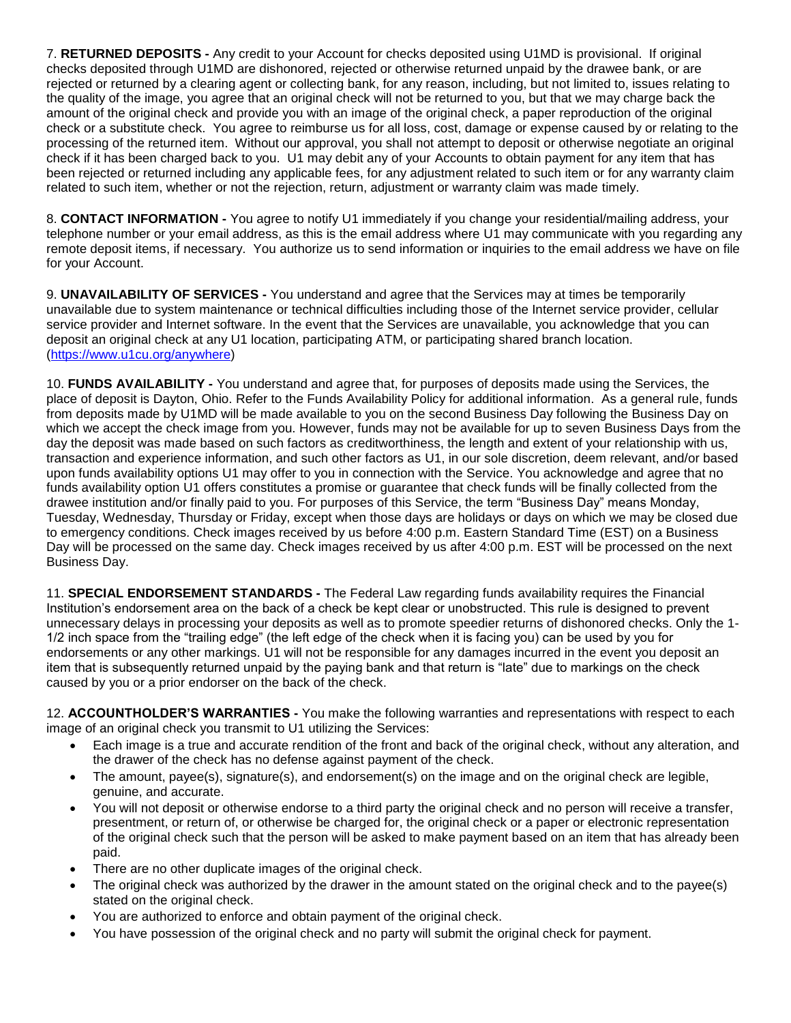7. **RETURNED DEPOSITS -** Any credit to your Account for checks deposited using U1MD is provisional. If original checks deposited through U1MD are dishonored, rejected or otherwise returned unpaid by the drawee bank, or are rejected or returned by a clearing agent or collecting bank, for any reason, including, but not limited to, issues relating to the quality of the image, you agree that an original check will not be returned to you, but that we may charge back the amount of the original check and provide you with an image of the original check, a paper reproduction of the original check or a substitute check. You agree to reimburse us for all loss, cost, damage or expense caused by or relating to the processing of the returned item. Without our approval, you shall not attempt to deposit or otherwise negotiate an original check if it has been charged back to you. U1 may debit any of your Accounts to obtain payment for any item that has been rejected or returned including any applicable fees, for any adjustment related to such item or for any warranty claim related to such item, whether or not the rejection, return, adjustment or warranty claim was made timely.

8. **CONTACT INFORMATION -** You agree to notify U1 immediately if you change your residential/mailing address, your telephone number or your email address, as this is the email address where U1 may communicate with you regarding any remote deposit items, if necessary. You authorize us to send information or inquiries to the email address we have on file for your Account.

9. **UNAVAILABILITY OF SERVICES -** You understand and agree that the Services may at times be temporarily unavailable due to system maintenance or technical difficulties including those of the Internet service provider, cellular service provider and Internet software. In the event that the Services are unavailable, you acknowledge that you can deposit an original check at any U1 location, participating ATM, or participating shared branch location. [\(https://www.u1cu.org/anywhere\)](https://www.u1cu.org/anywhere)

10. **FUNDS AVAILABILITY -** You understand and agree that, for purposes of deposits made using the Services, the place of deposit is Dayton, Ohio. Refer to the Funds Availability Policy for additional information. As a general rule, funds from deposits made by U1MD will be made available to you on the second Business Day following the Business Day on which we accept the check image from you. However, funds may not be available for up to seven Business Days from the day the deposit was made based on such factors as creditworthiness, the length and extent of your relationship with us, transaction and experience information, and such other factors as U1, in our sole discretion, deem relevant, and/or based upon funds availability options U1 may offer to you in connection with the Service. You acknowledge and agree that no funds availability option U1 offers constitutes a promise or guarantee that check funds will be finally collected from the drawee institution and/or finally paid to you. For purposes of this Service, the term "Business Day" means Monday, Tuesday, Wednesday, Thursday or Friday, except when those days are holidays or days on which we may be closed due to emergency conditions. Check images received by us before 4:00 p.m. Eastern Standard Time (EST) on a Business Day will be processed on the same day. Check images received by us after 4:00 p.m. EST will be processed on the next Business Day.

11. **SPECIAL ENDORSEMENT STANDARDS -** The Federal Law regarding funds availability requires the Financial Institution's endorsement area on the back of a check be kept clear or unobstructed. This rule is designed to prevent unnecessary delays in processing your deposits as well as to promote speedier returns of dishonored checks. Only the 1- 1/2 inch space from the "trailing edge" (the left edge of the check when it is facing you) can be used by you for endorsements or any other markings. U1 will not be responsible for any damages incurred in the event you deposit an item that is subsequently returned unpaid by the paying bank and that return is "late" due to markings on the check caused by you or a prior endorser on the back of the check.

12. **ACCOUNTHOLDER'S WARRANTIES -** You make the following warranties and representations with respect to each image of an original check you transmit to U1 utilizing the Services:

- Each image is a true and accurate rendition of the front and back of the original check, without any alteration, and the drawer of the check has no defense against payment of the check.
- The amount, payee(s), signature(s), and endorsement(s) on the image and on the original check are legible, genuine, and accurate.
- You will not deposit or otherwise endorse to a third party the original check and no person will receive a transfer, presentment, or return of, or otherwise be charged for, the original check or a paper or electronic representation of the original check such that the person will be asked to make payment based on an item that has already been paid.
- There are no other duplicate images of the original check.
- The original check was authorized by the drawer in the amount stated on the original check and to the payee(s) stated on the original check.
- You are authorized to enforce and obtain payment of the original check.
- You have possession of the original check and no party will submit the original check for payment.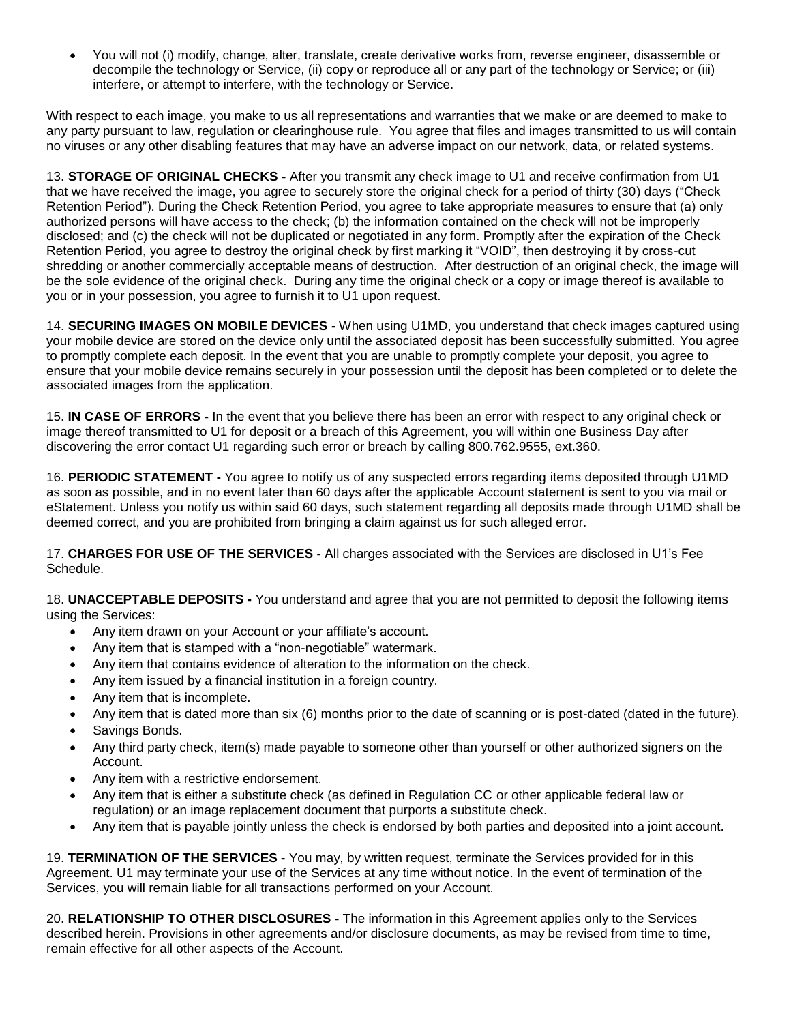You will not (i) modify, change, alter, translate, create derivative works from, reverse engineer, disassemble or decompile the technology or Service, (ii) copy or reproduce all or any part of the technology or Service; or (iii) interfere, or attempt to interfere, with the technology or Service.

With respect to each image, you make to us all representations and warranties that we make or are deemed to make to any party pursuant to law, regulation or clearinghouse rule. You agree that files and images transmitted to us will contain no viruses or any other disabling features that may have an adverse impact on our network, data, or related systems.

13. **STORAGE OF ORIGINAL CHECKS -** After you transmit any check image to U1 and receive confirmation from U1 that we have received the image, you agree to securely store the original check for a period of thirty (30) days ("Check Retention Period"). During the Check Retention Period, you agree to take appropriate measures to ensure that (a) only authorized persons will have access to the check; (b) the information contained on the check will not be improperly disclosed; and (c) the check will not be duplicated or negotiated in any form. Promptly after the expiration of the Check Retention Period, you agree to destroy the original check by first marking it "VOID", then destroying it by cross-cut shredding or another commercially acceptable means of destruction. After destruction of an original check, the image will be the sole evidence of the original check. During any time the original check or a copy or image thereof is available to you or in your possession, you agree to furnish it to U1 upon request.

14. **SECURING IMAGES ON MOBILE DEVICES -** When using U1MD, you understand that check images captured using your mobile device are stored on the device only until the associated deposit has been successfully submitted. You agree to promptly complete each deposit. In the event that you are unable to promptly complete your deposit, you agree to ensure that your mobile device remains securely in your possession until the deposit has been completed or to delete the associated images from the application.

15. **IN CASE OF ERRORS -** In the event that you believe there has been an error with respect to any original check or image thereof transmitted to U1 for deposit or a breach of this Agreement, you will within one Business Day after discovering the error contact U1 regarding such error or breach by calling 800.762.9555, ext.360.

16. **PERIODIC STATEMENT -** You agree to notify us of any suspected errors regarding items deposited through U1MD as soon as possible, and in no event later than 60 days after the applicable Account statement is sent to you via mail or eStatement. Unless you notify us within said 60 days, such statement regarding all deposits made through U1MD shall be deemed correct, and you are prohibited from bringing a claim against us for such alleged error.

17. **CHARGES FOR USE OF THE SERVICES -** All charges associated with the Services are disclosed in U1's Fee Schedule.

18. **UNACCEPTABLE DEPOSITS -** You understand and agree that you are not permitted to deposit the following items using the Services:

- Any item drawn on your Account or your affiliate's account.
- Any item that is stamped with a "non-negotiable" watermark.
- Any item that contains evidence of alteration to the information on the check.
- Any item issued by a financial institution in a foreign country.
- Any item that is incomplete.
- Any item that is dated more than six (6) months prior to the date of scanning or is post-dated (dated in the future).
- Savings Bonds.
- Any third party check, item(s) made payable to someone other than yourself or other authorized signers on the Account.
- Any item with a restrictive endorsement.
- Any item that is either a substitute check (as defined in Regulation CC or other applicable federal law or regulation) or an image replacement document that purports a substitute check.
- Any item that is payable jointly unless the check is endorsed by both parties and deposited into a joint account.

19. **TERMINATION OF THE SERVICES -** You may, by written request, terminate the Services provided for in this Agreement. U1 may terminate your use of the Services at any time without notice. In the event of termination of the Services, you will remain liable for all transactions performed on your Account.

20. **RELATIONSHIP TO OTHER DISCLOSURES -** The information in this Agreement applies only to the Services described herein. Provisions in other agreements and/or disclosure documents, as may be revised from time to time, remain effective for all other aspects of the Account.